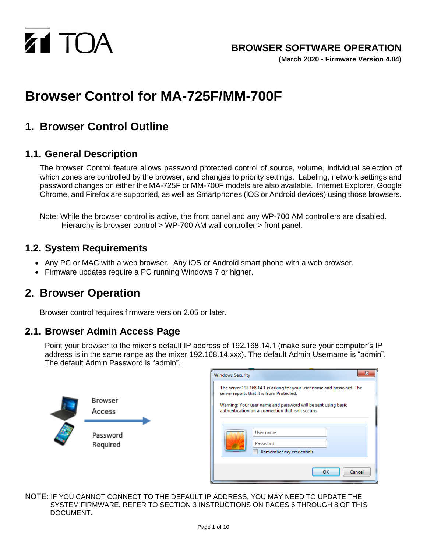

**(March 2020 - Firmware Version 4.04)**

# **Browser Control for MA-725F/MM-700F**

### **1. Browser Control Outline**

#### **1.1. General Description**

The browser Control feature allows password protected control of source, volume, individual selection of which zones are controlled by the browser, and changes to priority settings. Labeling, network settings and password changes on either the MA-725F or MM-700F models are also available. Internet Explorer, Google Chrome, and Firefox are supported, as well as Smartphones (iOS or Android devices) using those browsers.

Note: While the browser control is active, the front panel and any WP-700 AM controllers are disabled. Hierarchy is browser control > WP-700 AM wall controller > front panel.

#### **1.2. System Requirements**

- Any PC or MAC with a web browser. Any iOS or Android smart phone with a web browser.
- Firmware updates require a PC running Windows 7 or higher.

### **2. Browser Operation**

Browser control requires firmware version 2.05 or later.

#### **2.1. Browser Admin Access Page**

Point your browser to the mixer's default IP address of 192.168.14.1 (make sure your computer's IP address is in the same range as the mixer 192.168.14.xxx). The default Admin Username is "admin". The default Admin Password is "admin".

|                                           | $\mathbf{x}$<br><b>Windows Security</b>                                                                                                                                                                                                                                                                       |
|-------------------------------------------|---------------------------------------------------------------------------------------------------------------------------------------------------------------------------------------------------------------------------------------------------------------------------------------------------------------|
| Browser<br>Access<br>Password<br>Required | The server 192.168.14.1 is asking for your user name and password. The<br>server reports that it is from Protected.<br>Warning: Your user name and password will be sent using basic<br>authentication on a connection that isn't secure.<br>User name<br>Password<br>Remember my credentials<br>OK<br>Cancel |

NOTE: IF YOU CANNOT CONNECT TO THE DEFAULT IP ADDRESS, YOU MAY NEED TO UPDATE THE SYSTEM FIRMWARE. REFER TO SECTION 3 INSTRUCTIONS ON PAGES 6 THROUGH 8 OF THIS DOCUMENT.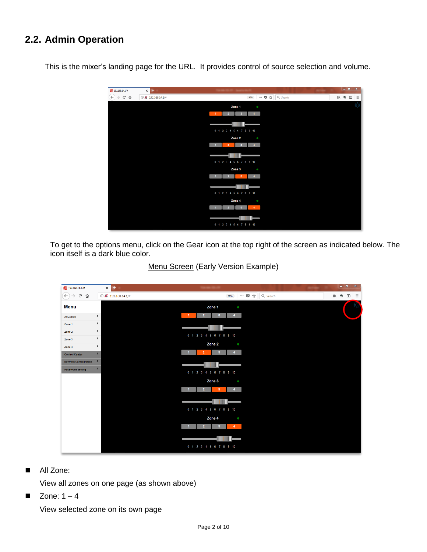### **2.2. Admin Operation**

This is the mixer's landing page for the URL. It provides control of source selection and volume.

| 20 192.168.14.1/#                                | $\times$ +                       |              |                |                   |                        |     |                |                |  |                  | $ \sigma$ $\times$ |          |
|--------------------------------------------------|----------------------------------|--------------|----------------|-------------------|------------------------|-----|----------------|----------------|--|------------------|--------------------|----------|
| $\leftarrow$<br>$\rightarrow$ $C$ $\hat{\omega}$ | $①$ $\cancel{2}'$ 192.168.14.1/# |              |                |                   |                        | 90% |                | … 7 ☆ Q Search |  | $M \triangleq 0$ |                    | $\equiv$ |
|                                                  |                                  |              |                | Zone 1            |                        |     | $\bullet$      |                |  |                  |                    |          |
|                                                  |                                  | $\mathbf{1}$ | $\overline{2}$ |                   |                        |     |                |                |  |                  |                    |          |
|                                                  |                                  |              |                |                   |                        |     |                |                |  |                  |                    |          |
|                                                  |                                  |              |                |                   | 0 1 2 3 4 5 6 7 8 9 10 |     |                |                |  |                  |                    |          |
|                                                  |                                  |              |                | Zone <sub>2</sub> |                        |     | $\bullet$      |                |  |                  |                    |          |
|                                                  |                                  | $\mathbf{1}$ | $\overline{2}$ |                   |                        |     | $\overline{4}$ |                |  |                  |                    |          |
|                                                  |                                  |              |                |                   |                        |     |                |                |  |                  |                    |          |
|                                                  |                                  |              |                |                   |                        |     |                |                |  |                  |                    |          |
|                                                  |                                  |              |                |                   | 0 1 2 3 4 5 6 7 8 9 10 |     |                |                |  |                  |                    |          |
|                                                  |                                  |              |                | Zone 3            |                        |     | $\bullet$      |                |  |                  |                    |          |
|                                                  |                                  | $\mathbf{1}$ | P.             |                   | $\mathbf{3}$           |     | $\overline{4}$ |                |  |                  |                    |          |
|                                                  |                                  |              |                |                   |                        |     |                |                |  |                  |                    |          |
|                                                  |                                  |              |                |                   | 0 1 2 3 4 5 6 7 8 9 10 |     |                |                |  |                  |                    |          |
|                                                  |                                  |              |                | Zone 4            |                        |     | $\bullet$      |                |  |                  |                    |          |
|                                                  |                                  |              |                |                   |                        |     | $\overline{4}$ |                |  |                  |                    |          |
|                                                  |                                  |              |                |                   |                        |     |                |                |  |                  |                    |          |
|                                                  |                                  |              |                |                   | 0 1 2 3 4 5 6 7 8 9 10 |     |                |                |  |                  |                    |          |
|                                                  |                                  |              |                |                   |                        |     |                |                |  |                  |                    |          |

To get to the options menu, click on the Gear icon at the top right of the screen as indicated below. The icon itself is a dark blue color.

| $\frac{1}{6}$ 192.168.14.1/#          |               | ₩<br>$\times$    |                |                |                        |     |                      |                                                                      |            |  |              | $\begin{array}{c c c c c} - & \mathbf{0} & \mathbf{X} \end{array}$ |          |
|---------------------------------------|---------------|------------------|----------------|----------------|------------------------|-----|----------------------|----------------------------------------------------------------------|------------|--|--------------|--------------------------------------------------------------------|----------|
| $\left( \leftarrow \right)$<br>G<br>⇧ |               | $@22.168.14.1/*$ |                |                |                        | 90% |                      | $\cdots \; \pmb{\triangledown}\; \stackrel{.}{\sim}\; \qquad \qquad$ | $Q$ Search |  | <b>III</b> 9 | $\Box$                                                             | $\equiv$ |
| <b>Menu</b>                           |               |                  |                |                | Zone 1                 |     | $\bullet$            |                                                                      |            |  |              |                                                                    |          |
| <b>All Zones</b>                      | $\,$          |                  | $-1$           | $\overline{2}$ | $\mathbf{3}$           |     | $\blacktriangleleft$ |                                                                      |            |  |              |                                                                    |          |
| Zone 1                                | $\rightarrow$ |                  |                |                |                        |     |                      |                                                                      |            |  |              |                                                                    |          |
| Zone 2                                | $\,$          |                  |                |                | 0 1 2 3 4 5 6 7 8 9 10 |     |                      |                                                                      |            |  |              |                                                                    |          |
| Zone 3                                | $\,$          |                  |                |                |                        |     |                      |                                                                      |            |  |              |                                                                    |          |
| Zone 4                                | $\,$          |                  |                |                | Zone 2                 |     | $\bullet$            |                                                                      |            |  |              |                                                                    |          |
| <b>Control Center</b>                 | $\,$          |                  | $\mathbf{1}$   | $\overline{2}$ | $\ddot{\textbf{3}}$    |     | $\blacktriangleleft$ |                                                                      |            |  |              |                                                                    |          |
| <b>Network Configuration</b>          | $\,$          |                  |                |                |                        |     |                      |                                                                      |            |  |              |                                                                    |          |
| <b>Password Setting</b>               | $\,$          |                  |                |                | 0 1 2 3 4 5 6 7 8 9 10 |     |                      |                                                                      |            |  |              |                                                                    |          |
|                                       |               |                  |                |                | Zone 3                 |     | $\bullet$            |                                                                      |            |  |              |                                                                    |          |
|                                       |               |                  | $\overline{1}$ | 2 <sup>1</sup> | 3                      |     | $\overline{4}$       |                                                                      |            |  |              |                                                                    |          |
|                                       |               |                  |                |                |                        |     |                      |                                                                      |            |  |              |                                                                    |          |
|                                       |               |                  |                |                | 0 1 2 3 4 5 6 7 8 9 10 |     |                      |                                                                      |            |  |              |                                                                    |          |
|                                       |               |                  |                |                | Zone 4                 |     | $\bullet$            |                                                                      |            |  |              |                                                                    |          |
|                                       |               |                  |                | $\overline{2}$ | з                      |     | $\overline{4}$       |                                                                      |            |  |              |                                                                    |          |
|                                       |               |                  |                |                |                        |     |                      |                                                                      |            |  |              |                                                                    |          |
|                                       |               |                  |                |                | 0 1 2 3 4 5 6 7 8 9 10 |     |                      |                                                                      |            |  |              |                                                                    |          |
|                                       |               |                  |                |                |                        |     |                      |                                                                      |            |  |              |                                                                    |          |

#### Menu Screen (Early Version Example)

■ All Zone:

View all zones on one page (as shown above)

 $\blacksquare$  Zone: 1 – 4

View selected zone on its own page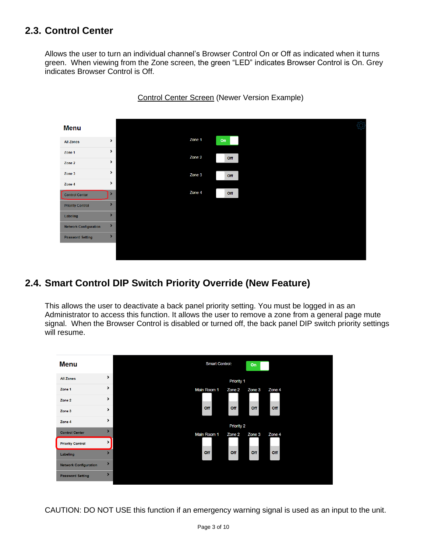### **2.3. Control Center**

Allows the user to turn an individual channel's Browser Control On or Off as indicated when it turns green. When viewing from the Zone screen, the green "LED" indicates Browser Control is On. Grey indicates Browser Control is Off.



#### Control Center Screen (Newer Version Example)

### **2.4. Smart Control DIP Switch Priority Override (New Feature)**

This allows the user to deactivate a back panel priority setting. You must be logged in as an Administrator to access this function. It allows the user to remove a zone from a general page mute signal. When the Browser Control is disabled or turned off, the back panel DIP switch priority settings will resume.



CAUTION: DO NOT USE this function if an emergency warning signal is used as an input to the unit.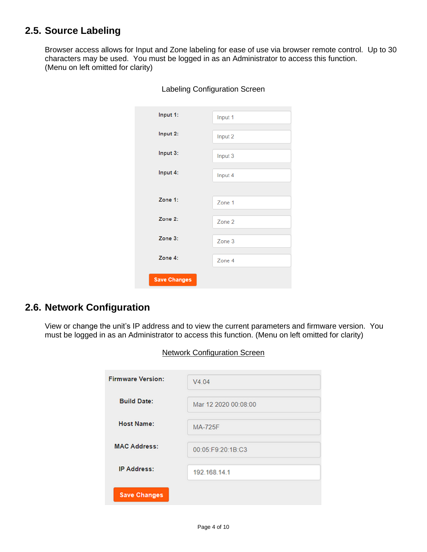### **2.5. Source Labeling**

Browser access allows for Input and Zone labeling for ease of use via browser remote control. Up to 30 characters may be used. You must be logged in as an Administrator to access this function. (Menu on left omitted for clarity)

| Input 1:            | Input 1 |
|---------------------|---------|
| Input 2:            | Input 2 |
| Input 3:            | Input 3 |
| Input 4:            | Input 4 |
|                     |         |
| Zone 1:             | Zone 1  |
| Zone 2:             | Zone 2  |
| Zone 3:             | Zone 3  |
| Zone 4:             | Zone 4  |
| <b>Save Changes</b> |         |

#### Labeling Configuration Screen

#### **2.6. Network Configuration**

View or change the unit's IP address and to view the current parameters and firmware version. You must be logged in as an Administrator to access this function. (Menu on left omitted for clarity)

| <b>Firmware Version:</b> | V4.04                |
|--------------------------|----------------------|
| <b>Build Date:</b>       | Mar 12 2020 00:08:00 |
| <b>Host Name:</b>        | <b>MA-725F</b>       |
| <b>MAC Address:</b>      | 00:05:F9:20:1B:C3    |
| <b>IP Address:</b>       | 192.168.14.1         |
| <b>Save Changes</b>      |                      |

Network Configuration Screen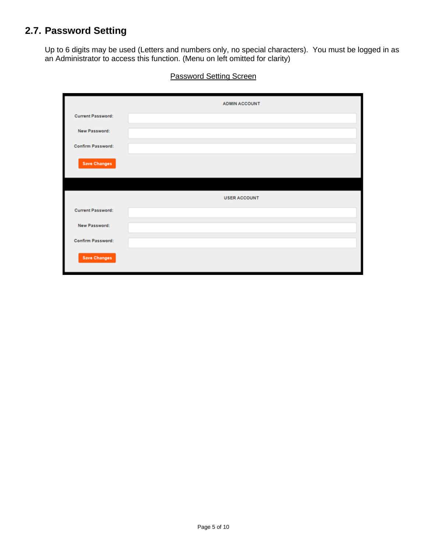### **2.7. Password Setting**

Up to 6 digits may be used (Letters and numbers only, no special characters). You must be logged in as an Administrator to access this function. (Menu on left omitted for clarity)

|                          | <b>ADMIN ACCOUNT</b> |
|--------------------------|----------------------|
| <b>Current Password:</b> |                      |
| New Password:            |                      |
| Confirm Password:        |                      |
| <b>Save Changes</b>      |                      |
|                          |                      |
|                          | <b>USER ACCOUNT</b>  |
| <b>Current Password:</b> |                      |
| New Password:            |                      |
| <b>Confirm Password:</b> |                      |
| <b>Save Changes</b>      |                      |

**Password Setting Screen**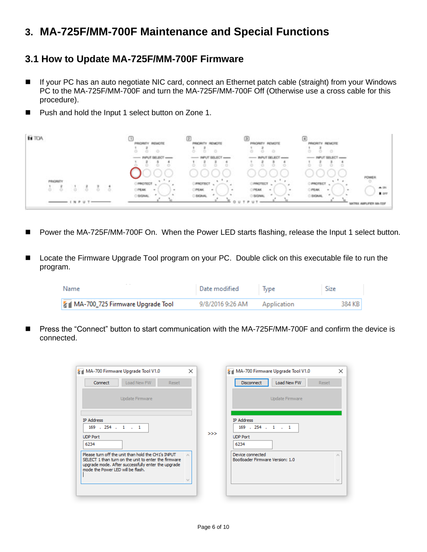## **3. MA-725F/MM-700F Maintenance and Special Functions**

#### **3.1 How to Update MA-725F/MM-700F Firmware**

- If your PC has an auto negotiate NIC card, connect an Ethernet patch cable (straight) from your Windows PC to the MA-725F/MM-700F and turn the MA-725F/MM-700F Off (Otherwise use a cross cable for this procedure).
- Push and hold the Input 1 select button on Zone 1.



- Power the MA-725F/MM-700F On. When the Power LED starts flashing, release the Input 1 select button.
- Locate the Firmware Upgrade Tool program on your PC. Double click on this executable file to run the program.

| $-$<br>Name                      | Date modified    | lype        | Size   |
|----------------------------------|------------------|-------------|--------|
| MA-700_725 Firmware Upgrade Tool | 9/8/2016 9:26 AM | Application | 384 KB |

◼ Press the "Connect" button to start communication with the MA-725F/MM-700F and confirm the device is connected.

| MA-700 Firmware Upgrade Tool V1.0                                                                                                                                                                     | $\times$                                      | MA-700 Firmware Upgrade Tool V1.0                                   |
|-------------------------------------------------------------------------------------------------------------------------------------------------------------------------------------------------------|-----------------------------------------------|---------------------------------------------------------------------|
| Load New FW<br>Connect<br>Reset                                                                                                                                                                       |                                               | Load New FW<br><b>Disconnect</b><br>Reset                           |
| Update Firmware                                                                                                                                                                                       |                                               | Update Firmware                                                     |
| <b>IP Address</b><br>$169$ , $254$ , $1$ , $1$<br><b>UDP Port</b><br>6234                                                                                                                             | >>                                            | <b>IP Address</b><br>$169$ . 254 . 1 . 1<br><b>UDP Port</b><br>6234 |
| Please turn off the unit than hold the CH1's INPUT<br>SELECT 1 than turn on the unit to enter the firmware<br>upgrade mode. After successfully enter the upgrade<br>mode the Power LED will be flash. |                                               | Device connected<br>Bootloader Firmware Version: 1.0                |
|                                                                                                                                                                                                       | $\mathbb{E}_{\mathbf{z},\mathbf{z}^{\prime}}$ |                                                                     |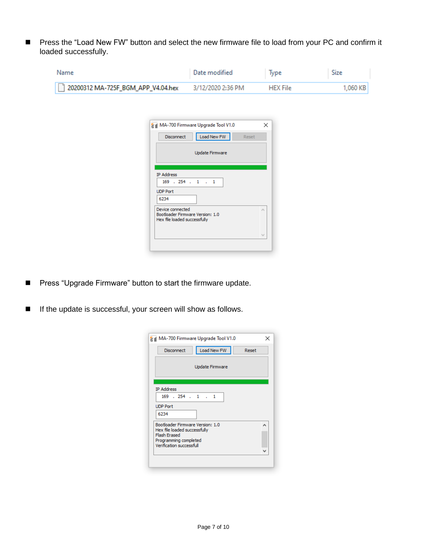■ Press the "Load New FW" button and select the new firmware file to load from your PC and confirm it loaded successfully.

| Name                               | Date modified     | lype            | Size       |
|------------------------------------|-------------------|-----------------|------------|
| 20200312 MA-725F_BGM_APP_V4.04.hex | 3/12/2020 2:36 PM | <b>HFX File</b> | $1,060$ KB |

| MA-700 Firmware Upgrade Tool V1.0                                                    | × |
|--------------------------------------------------------------------------------------|---|
| Load New FW<br>Disconnect<br>Reset                                                   |   |
| <b>Update Firmware</b>                                                               |   |
| <b>IP Address</b>                                                                    |   |
| $169$ , $254$ , $1$ , $1$                                                            |   |
| <b>UDP Port</b>                                                                      |   |
| 6234                                                                                 |   |
| Device connected<br>Bootloader Firmware Version: 1.0<br>Hex file loaded successfully |   |
|                                                                                      |   |
|                                                                                      |   |

- Press "Upgrade Firmware" button to start the firmware update.
- If the update is successful, your screen will show as follows.

| Disconnect                                          | Load New FW            | Reset |   |
|-----------------------------------------------------|------------------------|-------|---|
|                                                     | <b>Update Firmware</b> |       |   |
|                                                     |                        |       |   |
| <b>IP Address</b>                                   |                        |       |   |
| $169$ $.254$ $.1$ $.1$                              |                        |       |   |
| <b>UDP Port</b>                                     |                        |       |   |
| 6234                                                |                        |       |   |
| Bootloader Firmware Version: 1.0                    |                        |       | ۸ |
| Hex file loaded successfully<br><b>Flash Erased</b> |                        |       |   |
| Programming completed                               |                        |       |   |
| Verification successfull                            |                        |       |   |
|                                                     |                        |       |   |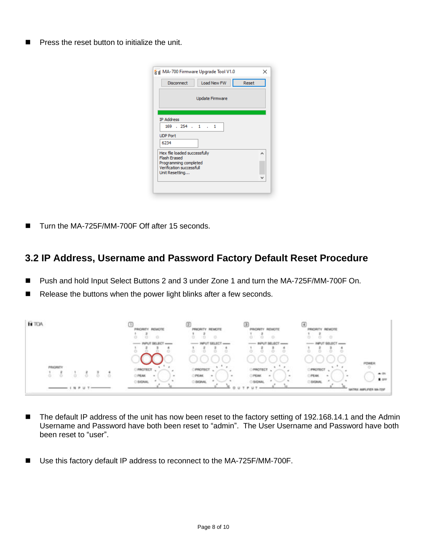■ Press the reset button to initialize the unit.

| <b>Disconnect</b>                            | Load New FW            | Reset |   |
|----------------------------------------------|------------------------|-------|---|
|                                              | <b>Update Firmware</b> |       |   |
| <b>IP Address</b>                            |                        |       |   |
| $169$ $.254$ $.1$ $.1$                       |                        |       |   |
| <b>UDP Port</b>                              |                        |       |   |
| 6234                                         |                        |       |   |
| Hex file loaded successfully                 |                        |       | ᆺ |
| <b>Flash Frased</b><br>Programming completed |                        |       |   |
| Verification successfull                     |                        |       |   |
| Unit Resetting                               |                        |       |   |

Turn the MA-725F/MM-700F Off after 15 seconds.

#### **3.2 IP Address, Username and Password Factory Default Reset Procedure**

- Push and hold Input Select Buttons 2 and 3 under Zone 1 and turn the MA-725F/MM-700F On.
- Release the buttons when the power light blinks after a few seconds.



- The default IP address of the unit has now been reset to the factory setting of 192.168.14.1 and the Admin Username and Password have both been reset to "admin". The User Username and Password have both been reset to "user".
- Use this factory default IP address to reconnect to the MA-725F/MM-700F.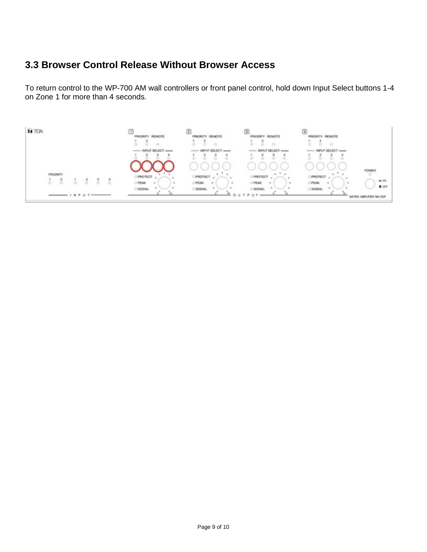### **3.3 Browser Control Release Without Browser Access**

To return control to the WP-700 AM wall controllers or front panel control, hold down Input Select buttons 1-4 on Zone 1 for more than 4 seconds.